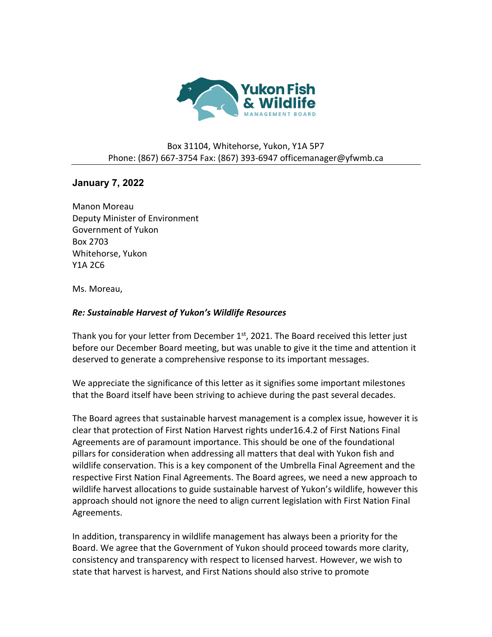

## Box 31104, Whitehorse, Yukon, Y1A 5P7 Phone: (867) 667-3754 Fax: (867) 393-6947 officemanager@yfwmb.ca

## **January 7, 2022**

Manon Moreau Deputy Minister of Environment Government of Yukon Box 2703 Whitehorse, Yukon Y1A 2C6

Ms. Moreau,

## *Re: Sustainable Harvest of Yukon's Wildlife Resources*

Thank you for your letter from December 1<sup>st</sup>, 2021. The Board received this letter just before our December Board meeting, but was unable to give it the time and attention it deserved to generate a comprehensive response to its important messages.

We appreciate the significance of this letter as it signifies some important milestones that the Board itself have been striving to achieve during the past several decades.

The Board agrees that sustainable harvest management is a complex issue, however it is clear that protection of First Nation Harvest rights under16.4.2 of First Nations Final Agreements are of paramount importance. This should be one of the foundational pillars for consideration when addressing all matters that deal with Yukon fish and wildlife conservation. This is a key component of the Umbrella Final Agreement and the respective First Nation Final Agreements. The Board agrees, we need a new approach to wildlife harvest allocations to guide sustainable harvest of Yukon's wildlife, however this approach should not ignore the need to align current legislation with First Nation Final Agreements.

In addition, transparency in wildlife management has always been a priority for the Board. We agree that the Government of Yukon should proceed towards more clarity, consistency and transparency with respect to licensed harvest. However, we wish to state that harvest is harvest, and First Nations should also strive to promote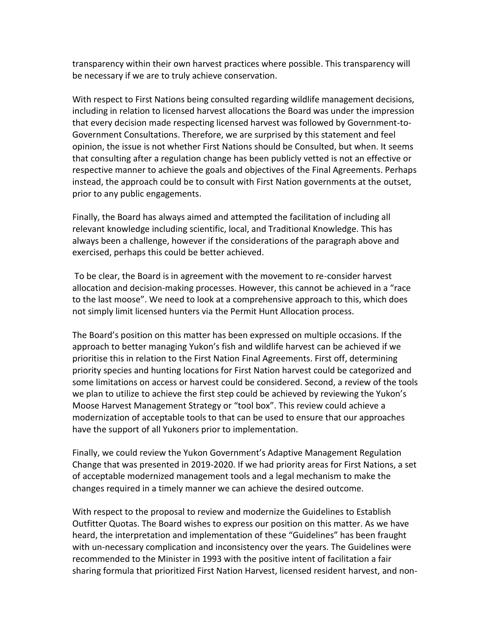transparency within their own harvest practices where possible. This transparency will be necessary if we are to truly achieve conservation.

With respect to First Nations being consulted regarding wildlife management decisions, including in relation to licensed harvest allocations the Board was under the impression that every decision made respecting licensed harvest was followed by Government-to-Government Consultations. Therefore, we are surprised by this statement and feel opinion, the issue is not whether First Nations should be Consulted, but when. It seems that consulting after a regulation change has been publicly vetted is not an effective or respective manner to achieve the goals and objectives of the Final Agreements. Perhaps instead, the approach could be to consult with First Nation governments at the outset, prior to any public engagements.

Finally, the Board has always aimed and attempted the facilitation of including all relevant knowledge including scientific, local, and Traditional Knowledge. This has always been a challenge, however if the considerations of the paragraph above and exercised, perhaps this could be better achieved.

To be clear, the Board is in agreement with the movement to re-consider harvest allocation and decision-making processes. However, this cannot be achieved in a "race to the last moose". We need to look at a comprehensive approach to this, which does not simply limit licensed hunters via the Permit Hunt Allocation process.

The Board's position on this matter has been expressed on multiple occasions. If the approach to better managing Yukon's fish and wildlife harvest can be achieved if we prioritise this in relation to the First Nation Final Agreements. First off, determining priority species and hunting locations for First Nation harvest could be categorized and some limitations on access or harvest could be considered. Second, a review of the tools we plan to utilize to achieve the first step could be achieved by reviewing the Yukon's Moose Harvest Management Strategy or "tool box". This review could achieve a modernization of acceptable tools to that can be used to ensure that our approaches have the support of all Yukoners prior to implementation.

Finally, we could review the Yukon Government's Adaptive Management Regulation Change that was presented in 2019-2020. If we had priority areas for First Nations, a set of acceptable modernized management tools and a legal mechanism to make the changes required in a timely manner we can achieve the desired outcome.

With respect to the proposal to review and modernize the Guidelines to Establish Outfitter Quotas. The Board wishes to express our position on this matter. As we have heard, the interpretation and implementation of these "Guidelines" has been fraught with un-necessary complication and inconsistency over the years. The Guidelines were recommended to the Minister in 1993 with the positive intent of facilitation a fair sharing formula that prioritized First Nation Harvest, licensed resident harvest, and non-